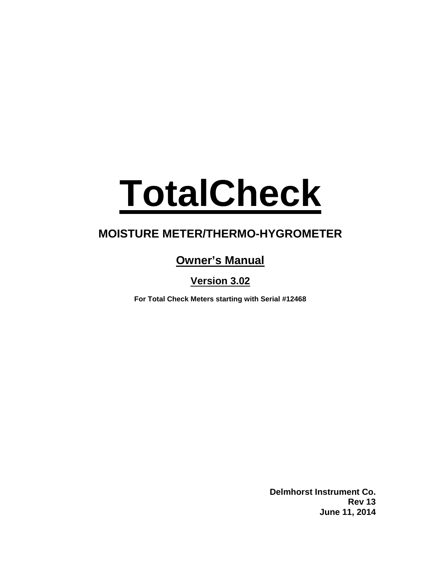# **TotalCheck**

# **MOISTURE METER/THERMO-HYGROMETER**

# **Owner's Manual**

**Version 3.02**

**For Total Check Meters starting with Serial #12468**

**Delmhorst Instrument Co. Rev 13 June 11, 2014**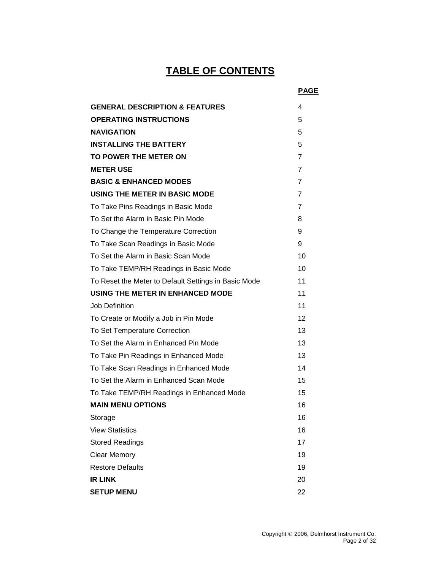# **TABLE OF CONTENTS**

|                                                      | <b>PAGE</b>    |
|------------------------------------------------------|----------------|
| <b>GENERAL DESCRIPTION &amp; FEATURES</b>            | 4              |
| <b>OPERATING INSTRUCTIONS</b>                        | 5              |
| <b>NAVIGATION</b>                                    | 5              |
| <b>INSTALLING THE BATTERY</b>                        | 5              |
| TO POWER THE METER ON                                | 7              |
| <b>METER USE</b>                                     | $\overline{7}$ |
| <b>BASIC &amp; ENHANCED MODES</b>                    | $\overline{7}$ |
| USING THE METER IN BASIC MODE                        | 7              |
| To Take Pins Readings in Basic Mode                  | 7              |
| To Set the Alarm in Basic Pin Mode                   | 8              |
| To Change the Temperature Correction                 | 9              |
| To Take Scan Readings in Basic Mode                  | 9              |
| To Set the Alarm in Basic Scan Mode                  | 10             |
| To Take TEMP/RH Readings in Basic Mode               | 10             |
| To Reset the Meter to Default Settings in Basic Mode | 11             |
| USING THE METER IN ENHANCED MODE                     | 11             |
| Job Definition                                       | 11             |
| To Create or Modify a Job in Pin Mode                | 12             |
| To Set Temperature Correction                        | 13             |
| To Set the Alarm in Enhanced Pin Mode                | 13             |
| To Take Pin Readings in Enhanced Mode                | 13             |
| To Take Scan Readings in Enhanced Mode               | 14             |
| To Set the Alarm in Enhanced Scan Mode               | 15             |
| To Take TEMP/RH Readings in Enhanced Mode            | 15             |
| <b>MAIN MENU OPTIONS</b>                             | 16             |
| Storage                                              | 16             |
| <b>View Statistics</b>                               | 16             |
| <b>Stored Readings</b>                               | 17             |
| <b>Clear Memory</b>                                  | 19             |
| <b>Restore Defaults</b>                              | 19             |
| <b>IR LINK</b>                                       | 20             |
| <b>SETUP MENU</b>                                    | 22             |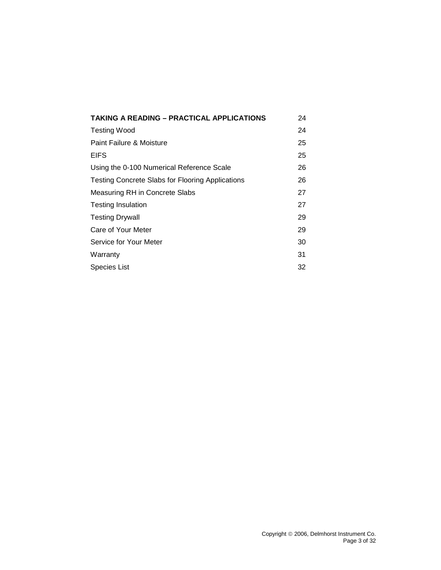| <b>TAKING A READING – PRACTICAL APPLICATIONS</b>        | 24 |
|---------------------------------------------------------|----|
| Testing Wood                                            | 24 |
| Paint Failure & Moisture                                | 25 |
| <b>EIFS</b>                                             | 25 |
| Using the 0-100 Numerical Reference Scale               | 26 |
| <b>Testing Concrete Slabs for Flooring Applications</b> | 26 |
| Measuring RH in Concrete Slabs                          | 27 |
| <b>Testing Insulation</b>                               | 27 |
| <b>Testing Drywall</b>                                  | 29 |
| Care of Your Meter                                      | 29 |
| Service for Your Meter                                  | 30 |
| Warranty                                                | 31 |
| Species List                                            | 32 |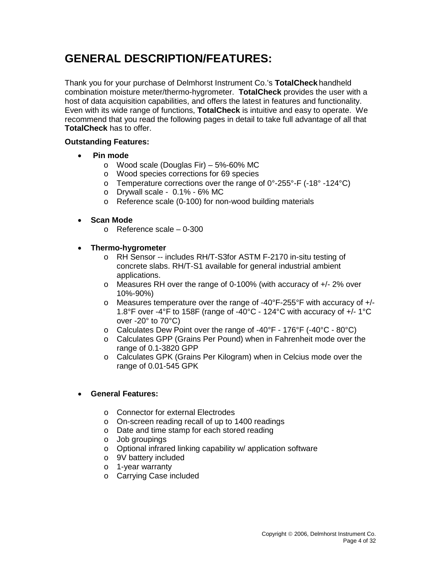# **GENERAL DESCRIPTION/FEATURES:**

Thank you for your purchase of Delmhorst Instrument Co.'s **TotalCheck** handheld combination moisture meter/thermo-hygrometer. **TotalCheck** provides the user with a host of data acquisition capabilities, and offers the latest in features and functionality. Even with its wide range of functions, **TotalCheck** is intuitive and easy to operate. We recommend that you read the following pages in detail to take full advantage of all that **TotalCheck** has to offer.

#### **Outstanding Features:**

- **Pin mode**
	- o Wood scale (Douglas Fir) 5%-60% MC
	- o Wood species corrections for 69 species
	- $\circ$  Temperature corrections over the range of 0°-255°-F (-18° -124°C)
	- $\circ$  Drywall scale 0.1% 6% MC
	- o Reference scale (0-100) for non-wood building materials

#### • **Scan Mode**

- o Reference scale 0-300
- **Thermo-hygrometer**
	- o RH Sensor -- includes RH/T-S3for ASTM F-2170 in-situ testing of concrete slabs. RH/T-S1 available for general industrial ambient applications.
	- o Measures RH over the range of 0-100% (with accuracy of +/- 2% over 10%-90%)
	- $\circ$  Measures temperature over the range of -40°F-255°F with accuracy of  $+/-$ 1.8°F over -4°F to 158F (range of -40°C - 124°C with accuracy of +/- 1°C over -20° to 70°C)
	- o Calculates Dew Point over the range of -40°F 176°F (-40°C 80°C)
	- o Calculates GPP (Grains Per Pound) when in Fahrenheit mode over the range of 0.1-3820 GPP
	- o Calculates GPK (Grains Per Kilogram) when in Celcius mode over the range of 0.01-545 GPK

#### • **General Features:**

- o Connector for external Electrodes
- o On-screen reading recall of up to 1400 readings
- o Date and time stamp for each stored reading
- o Job groupings
- o Optional infrared linking capability w/ application software
- o 9V battery included
- o 1-year warranty
- o Carrying Case included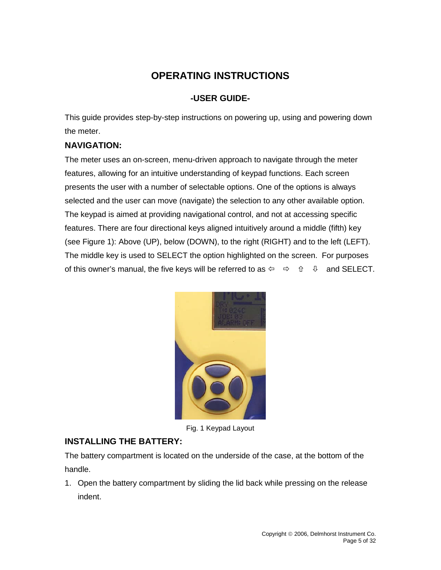# **OPERATING INSTRUCTIONS**

# **-USER GUIDE-**

This guide provides step-by-step instructions on powering up, using and powering down the meter.

# **NAVIGATION:**

The meter uses an on-screen, menu-driven approach to navigate through the meter features, allowing for an intuitive understanding of keypad functions. Each screen presents the user with a number of selectable options. One of the options is always selected and the user can move (navigate) the selection to any other available option. The keypad is aimed at providing navigational control, and not at accessing specific features. There are four directional keys aligned intuitively around a middle (fifth) key (see Figure 1): Above (UP), below (DOWN), to the right (RIGHT) and to the left (LEFT). The middle key is used to SELECT the option highlighted on the screen. For purposes of this owner's manual, the five keys will be referred to as  $\Leftrightarrow \Rightarrow \hat{u} = \hat{v}$  and SELECT.



Fig. 1 Keypad Layout

# **INSTALLING THE BATTERY:**

The battery compartment is located on the underside of the case, at the bottom of the handle.

1. Open the battery compartment by sliding the lid back while pressing on the release indent.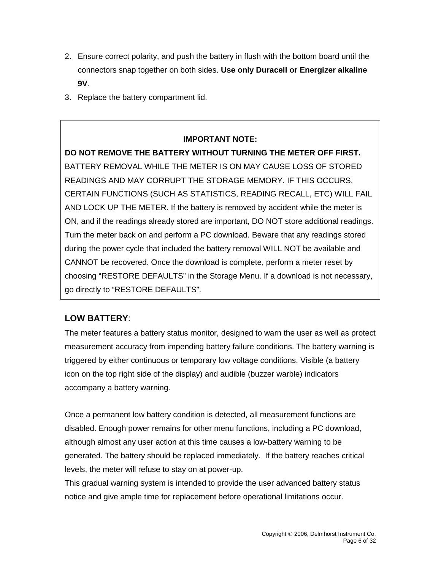- 2. Ensure correct polarity, and push the battery in flush with the bottom board until the connectors snap together on both sides. **Use only Duracell or Energizer alkaline 9V**.
- 3. Replace the battery compartment lid.

## **IMPORTANT NOTE:**

**DO NOT REMOVE THE BATTERY WITHOUT TURNING THE METER OFF FIRST.**  BATTERY REMOVAL WHILE THE METER IS ON MAY CAUSE LOSS OF STORED READINGS AND MAY CORRUPT THE STORAGE MEMORY. IF THIS OCCURS, CERTAIN FUNCTIONS (SUCH AS STATISTICS, READING RECALL, ETC) WILL FAIL AND LOCK UP THE METER. If the battery is removed by accident while the meter is ON, and if the readings already stored are important, DO NOT store additional readings. Turn the meter back on and perform a PC download. Beware that any readings stored during the power cycle that included the battery removal WILL NOT be available and CANNOT be recovered. Once the download is complete, perform a meter reset by choosing "RESTORE DEFAULTS" in the Storage Menu. If a download is not necessary, go directly to "RESTORE DEFAULTS".

# **LOW BATTERY**:

The meter features a battery status monitor, designed to warn the user as well as protect measurement accuracy from impending battery failure conditions. The battery warning is triggered by either continuous or temporary low voltage conditions. Visible (a battery icon on the top right side of the display) and audible (buzzer warble) indicators accompany a battery warning.

Once a permanent low battery condition is detected, all measurement functions are disabled. Enough power remains for other menu functions, including a PC download, although almost any user action at this time causes a low-battery warning to be generated. The battery should be replaced immediately. If the battery reaches critical levels, the meter will refuse to stay on at power-up.

This gradual warning system is intended to provide the user advanced battery status notice and give ample time for replacement before operational limitations occur.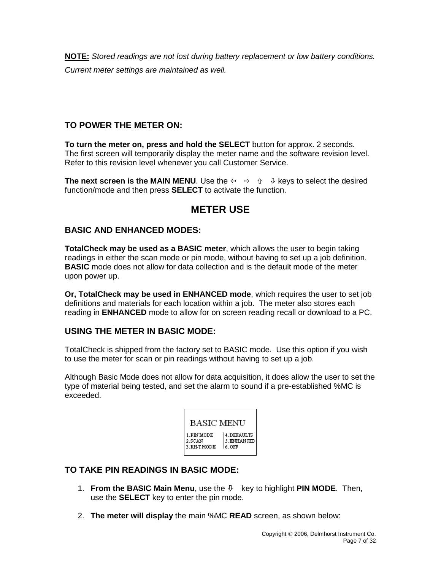**NOTE:** *Stored readings are not lost during battery replacement or low battery conditions. Current meter settings are maintained as well.*

## **TO POWER THE METER ON:**

**To turn the meter on, press and hold the SELECT** button for approx. 2 seconds. The first screen will temporarily display the meter name and the software revision level. Refer to this revision level whenever you call Customer Service.

**The next screen is the MAIN MENU.** Use the  $\Leftrightarrow \quad \Leftrightarrow \quad \oplus \quad \Leftrightarrow \quad \Leftrightarrow$  teys to select the desired function/mode and then press **SELECT** to activate the function.

# **METER USE**

## **BASIC AND ENHANCED MODES:**

**TotalCheck may be used as a BASIC meter**, which allows the user to begin taking readings in either the scan mode or pin mode, without having to set up a job definition. **BASIC** mode does not allow for data collection and is the default mode of the meter upon power up.

**Or, TotalCheck may be used in ENHANCED mode**, which requires the user to set job definitions and materials for each location within a job. The meter also stores each reading in **ENHANCED** mode to allow for on screen reading recall or download to a PC.

## **USING THE METER IN BASIC MODE:**

TotalCheck is shipped from the factory set to BASIC mode. Use this option if you wish to use the meter for scan or pin readings without having to set up a job.

Although Basic Mode does not allow for data acquisition, it does allow the user to set the type of material being tested, and set the alarm to sound if a pre-established %MC is exceeded.

| BASIC MENU                          |                                   |
|-------------------------------------|-----------------------------------|
| 1.PIN MODE<br>2.SCAN<br>3. RH-TMODE | 4.DEFAULTS<br>5.ENHANCED<br>6.0FF |

## **TO TAKE PIN READINGS IN BASIC MODE:**

- 1. **From the BASIC Main Menu**, use the  $\theta$  key to highlight **PIN MODE**. Then, use the **SELECT** key to enter the pin mode.
- 2. **The meter will display** the main %MC **READ** screen, as shown below: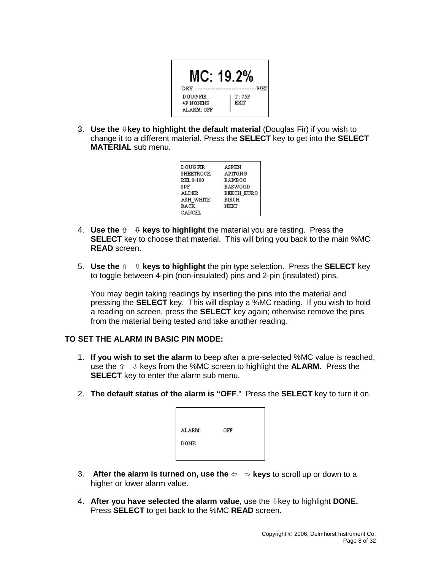

3. **Use the key to highlight the default material** (Douglas Fir) if you wish to change it to a different material. Press the **SELECT** key to get into the **SELECT MATERIAL** sub menu.

| <b>DOUG FIR</b> | ASPEN             |
|-----------------|-------------------|
|                 |                   |
| SHEETROCK       | APITONG           |
| REL 0-100       | <b>BAMBOO</b>     |
| SPF             | BASWOOD           |
| ALDER           | <b>BEECH EURO</b> |
| ash white       | BIRCH             |
| BACK            | NEXT              |
| CANCEL          |                   |

- 4. **Use the**  $\hat{v} = \theta$  **keys to highlight** the material you are testing. Press the **SELECT** key to choose that material. This will bring you back to the main %MC **READ** screen.
- **5. Use the**  $\hat{v} = \psi$  keys to highlight the pin type selection. Press the **SELECT** key to toggle between 4-pin (non-insulated) pins and 2-pin (insulated) pins.

You may begin taking readings by inserting the pins into the material and pressing the **SELECT** key. This will display a %MC reading. If you wish to hold a reading on screen, press the **SELECT** key again; otherwise remove the pins from the material being tested and take another reading.

#### **TO SET THE ALARM IN BASIC PIN MODE:**

- 1. **If you wish to set the alarm** to beep after a pre-selected %MC value is reached, use the  $\hat{v}$   $\theta$  keys from the %MC screen to highlight the **ALARM**. Press the **SELECT** key to enter the alarm sub menu.
- 2. **The default status of the alarm is "OFF**." Press the **SELECT** key to turn it on.

| ALARM:      | OFF |  |
|-------------|-----|--|
| <b>DONE</b> |     |  |
|             |     |  |

- 3. After the alarm is turned on, use the  $\Leftrightarrow$   $\Leftrightarrow$  keys to scroll up or down to a higher or lower alarm value.
- 4. **After you have selected the alarm value**, use the key to highlight **DONE.** Press **SELECT** to get back to the %MC **READ** screen.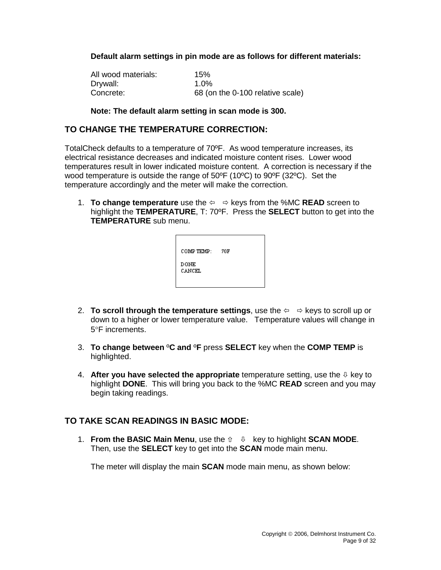**Default alarm settings in pin mode are as follows for different materials:**

| All wood materials: | 15%                              |
|---------------------|----------------------------------|
| Drywall:            | $1.0\%$                          |
| Concrete:           | 68 (on the 0-100 relative scale) |

#### **Note: The default alarm setting in scan mode is 300.**

#### **TO CHANGE THE TEMPERATURE CORRECTION:**

TotalCheck defaults to a temperature of 70ºF. As wood temperature increases, its electrical resistance decreases and indicated moisture content rises. Lower wood temperatures result in lower indicated moisture content. A correction is necessary if the wood temperature is outside the range of 50ºF (10ºC) to 90ºF (32ºC). Set the temperature accordingly and the meter will make the correction.

1. **To change temperature** use the keys from the %MC **READ** screen to highlight the **TEMPERATURE**, T: 70ºF. Press the **SELECT** button to get into the **TEMPERATURE** sub menu.

| COMP TEMP:     | 70F |
|----------------|-----|
| DONE<br>CANCEL |     |

- 2. **To scroll through the temperature settings**, use the  $\Leftrightarrow$   $\Leftrightarrow$  keys to scroll up or down to a higher or lower temperature value. Temperature values will change in 5°F increments.
- 3. **To change between** º**C and** º**F** press **SELECT** key when the **COMP TEMP** is highlighted.
- 4. **After you have selected the appropriate** temperature setting, use the  $\Phi$  key to highlight **DONE**. This will bring you back to the %MC **READ** screen and you may begin taking readings.

## **TO TAKE SCAN READINGS IN BASIC MODE:**

1. **From the BASIC Main Menu**, use the  $\hat{v} = \hat{v}$  key to highlight **SCAN MODE**. Then, use the **SELECT** key to get into the **SCAN** mode main menu.

The meter will display the main **SCAN** mode main menu, as shown below: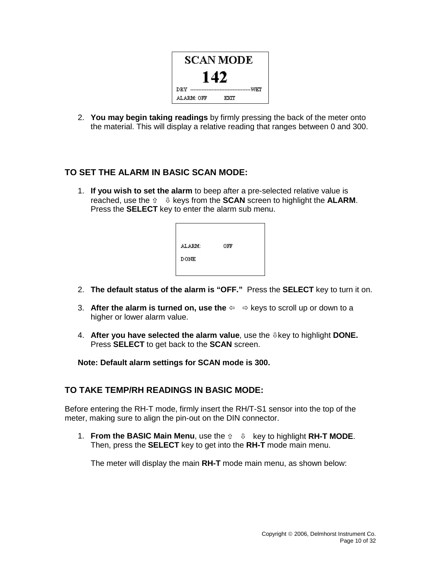

2. **You may begin taking readings** by firmly pressing the back of the meter onto the material. This will display a relative reading that ranges between 0 and 300.

## **TO SET THE ALARM IN BASIC SCAN MODE:**

1. **If you wish to set the alarm** to beep after a pre-selected relative value is reached, use the  $\hat{v} = \hat{v}$  keys from the **SCAN** screen to highlight the **ALARM**. Press the **SELECT** key to enter the alarm sub menu.



- 2. **The default status of the alarm is "OFF."** Press the **SELECT** key to turn it on.
- 3. After the alarm is turned on, use the  $\Leftrightarrow$   $\Leftrightarrow$  keys to scroll up or down to a higher or lower alarm value.
- 4. **After you have selected the alarm value**, use the key to highlight **DONE.** Press **SELECT** to get back to the **SCAN** screen.

#### **Note: Default alarm settings for SCAN mode is 300.**

#### **TO TAKE TEMP/RH READINGS IN BASIC MODE:**

Before entering the RH-T mode, firmly insert the RH/T-S1 sensor into the top of the meter, making sure to align the pin-out on the DIN connector.

1. **From the BASIC Main Menu**, use the key to highlight **RH-T MODE**. Then, press the **SELECT** key to get into the **RH-T** mode main menu.

The meter will display the main **RH-T** mode main menu, as shown below: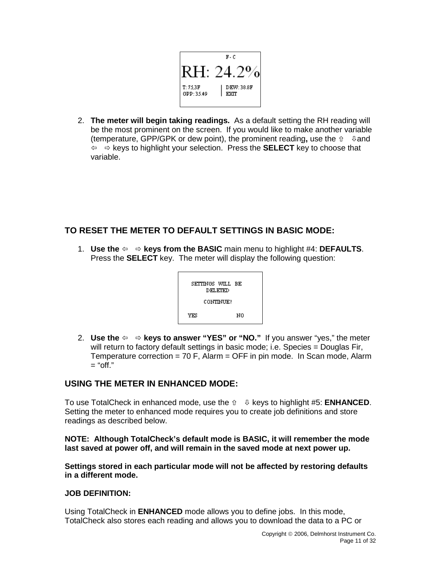

2. **The meter will begin taking readings.** As a default setting the RH reading will be the most prominent on the screen. If you would like to make another variable (temperature, GPP/GPK or dew point), the prominent reading, use the  $\hat{v}$   $\theta$  and  $\overline{\varphi}$   $\Rightarrow$  keys to highlight your selection. Press the **SELECT** key to choose that variable.

# **TO RESET THE METER TO DEFAULT SETTINGS IN BASIC MODE:**

1. **Use the**  $\Leftrightarrow$  $\Leftrightarrow$  **keys from the BASIC** main menu to highlight #4: **DEFAULTS**. Press the **SELECT** key. The meter will display the following question:



2. **Use the**  $\Leftrightarrow$   $\Leftrightarrow$  **keys to answer "YES" or "NO."** If you answer "yes," the meter will return to factory default settings in basic mode; i.e. Species = Douglas Fir, Temperature correction = 70 F, Alarm = OFF in pin mode. In Scan mode, Alarm  $=$  "off."

## **USING THE METER IN ENHANCED MODE:**

To use TotalCheck in enhanced mode, use the keys to highlight #5: **ENHANCED**. Setting the meter to enhanced mode requires you to create job definitions and store readings as described below.

**NOTE: Although TotalCheck's default mode is BASIC, it will remember the mode last saved at power off, and will remain in the saved mode at next power up.**

**Settings stored in each particular mode will not be affected by restoring defaults in a different mode.**

#### **JOB DEFINITION:**

Using TotalCheck in **ENHANCED** mode allows you to define jobs. In this mode, TotalCheck also stores each reading and allows you to download the data to a PC or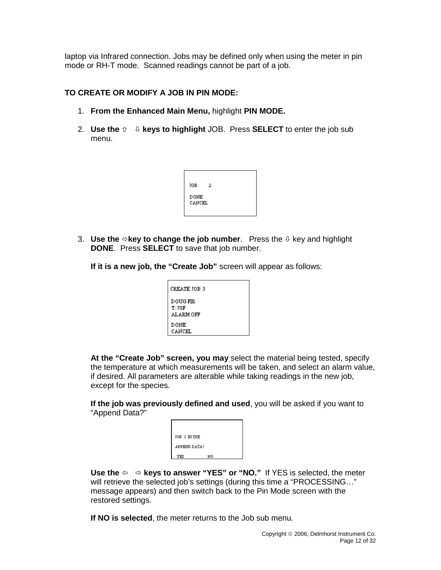laptop via Infrared connection. Jobs may be defined only when using the meter in pin mode or RH-T mode. Scanned readings cannot be part of a job.

#### **TO CREATE OR MODIFY A JOB IN PIN MODE:**

- 1. **From the Enhanced Main Menu,** highlight **PIN MODE.**
- **2.** Use the  $\hat{v} \neq \emptyset$  keys to highlight JOB. Press **SELECT** to enter the job sub menu.

| JOB:                  | 2 |  |
|-----------------------|---|--|
| <b>DONE</b><br>CANCEL |   |  |

3. **Use the**  $\Rightarrow$  **key to change the job number**. Press the  $\psi$  key and highlight **DONE**. Press **SELECT** to save that job number.

**If it is a new job, the "Create Job"** screen will appear as follows:

| CREATE JOB 3                          |
|---------------------------------------|
| <b>DOUG FIR</b><br>T:70F<br>ALARM OFF |
| DONE<br>CANCEL                        |

**At the "Create Job" screen, you may** select the material being tested, specify the temperature at which measurements will be taken, and select an alarm value, if desired. All parameters are alterable while taking readings in the new job, except for the species.

**If the job was previously defined and used**, you will be asked if you want to "Append Data?"

| JOB 1 IN USE |    |  |
|--------------|----|--|
| APPEND DATA? |    |  |
| YES          | NΟ |  |
|              |    |  |

**Use the**  $\Leftarrow$   $\Rightarrow$  **keys to answer "YES" or "NO."** If YES is selected, the meter will retrieve the selected job's settings (during this time a "PROCESSING..." message appears) and then switch back to the Pin Mode screen with the restored settings.

**If NO is selected**, the meter returns to the Job sub menu.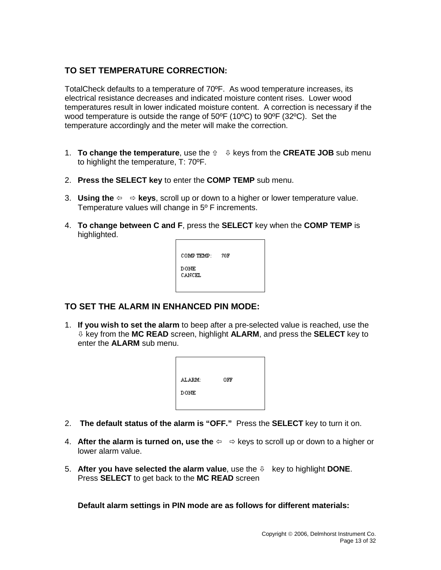# **TO SET TEMPERATURE CORRECTION:**

TotalCheck defaults to a temperature of 70ºF. As wood temperature increases, its electrical resistance decreases and indicated moisture content rises. Lower wood temperatures result in lower indicated moisture content. A correction is necessary if the wood temperature is outside the range of 50ºF (10ºC) to 90ºF (32ºC). Set the temperature accordingly and the meter will make the correction.

- 1. **To change the temperature**, use the  $\hat{v}$   $\psi$  keys from the **CREATE JOB** sub menu to highlight the temperature, T: 70ºF.
- 2. **Press the SELECT key** to enter the **COMP TEMP** sub menu.
- 3. **Using the**  $\Leftrightarrow$   $\Leftrightarrow$  **keys**, scroll up or down to a higher or lower temperature value. Temperature values will change in 5º F increments.
- 4. **To change between C and F**, press the **SELECT** key when the **COMP TEMP** is highlighted.

| COMP TEMP:            | 70F |
|-----------------------|-----|
| <b>DONE</b><br>CANCEL |     |
|                       |     |

## **TO SET THE ALARM IN ENHANCED PIN MODE:**

1. **If you wish to set the alarm** to beep after a pre-selected value is reached, use the key from the **MC READ** screen, highlight **ALARM**, and press the **SELECT** key to enter the **ALARM** sub menu.

| ALARM:      | OFF |  |
|-------------|-----|--|
| <b>DONE</b> |     |  |
|             |     |  |

- 2. **The default status of the alarm is "OFF."** Press the **SELECT** key to turn it on.
- 4. **After the alarm is turned on, use the**  $\Leftrightarrow$   $\Leftrightarrow$  keys to scroll up or down to a higher or lower alarm value.
- 5. After you have selected the alarm value, use the  $\psi$  key to highlight **DONE**. Press **SELECT** to get back to the **MC READ** screen

**Default alarm settings in PIN mode are as follows for different materials:**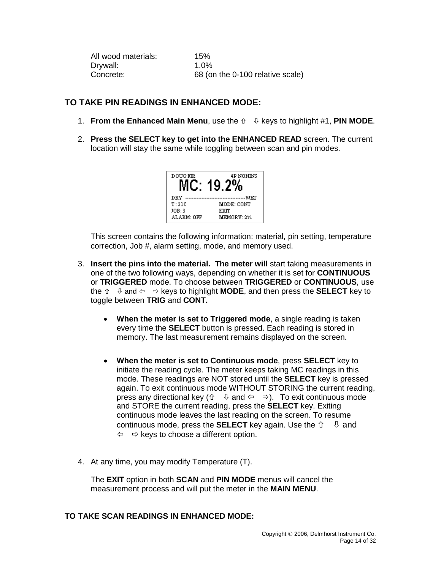All wood materials: 15%<br>Drywall: 1.0% Drywall: Concrete: 68 (on the 0-100 relative scale)

## **TO TAKE PIN READINGS IN ENHANCED MODE:**

- 1. **From the Enhanced Main Menu**, use the keys to highlight #1, **PIN MODE**.
- 2. **Press the SELECT key to get into the ENHANCED READ** screen. The current location will stay the same while toggling between scan and pin modes.

| <b>DOUG FIR</b> | <b>4P NONINS</b> |
|-----------------|------------------|
| DRV             | प्राप्ता         |
| T:21C           | MODE: CONT       |
| JOB:3           | EXTT             |
| ALARM: OFF      | MEMORY: 2%       |

This screen contains the following information: material, pin setting, temperature correction, Job #, alarm setting, mode, and memory used.

- 3. **Insert the pins into the material. The meter will** start taking measurements in one of the two following ways, depending on whether it is set for **CONTINUOUS**  or **TRIGGERED** mode. To choose between **TRIGGERED** or **CONTINUOUS**, use the  $\hat{v} \quad \psi$  and  $\Leftarrow \Rightarrow$  keys to highlight **MODE**, and then press the **SELECT** key to toggle between **TRIG** and **CONT.**
	- **When the meter is set to Triggered mode**, a single reading is taken every time the **SELECT** button is pressed. Each reading is stored in memory. The last measurement remains displayed on the screen.
	- **When the meter is set to Continuous mode**, press **SELECT** key to initiate the reading cycle. The meter keeps taking MC readings in this mode. These readings are NOT stored until the **SELECT** key is pressed again. To exit continuous mode WITHOUT STORING the current reading, press any directional key ( $\hat{v} = \theta$  and  $\Leftarrow \Rightarrow$ ). To exit continuous mode and STORE the current reading, press the **SELECT** key. Exiting continuous mode leaves the last reading on the screen. To resume continuous mode, press the **SELECT** key again. Use the  $\hat{u} - \hat{v}$  and  $\Leftrightarrow$   $\Leftrightarrow$  keys to choose a different option.
- 4. At any time, you may modify Temperature (T).

The **EXIT** option in both **SCAN** and **PIN MODE** menus will cancel the measurement process and will put the meter in the **MAIN MENU**.

#### **TO TAKE SCAN READINGS IN ENHANCED MODE:**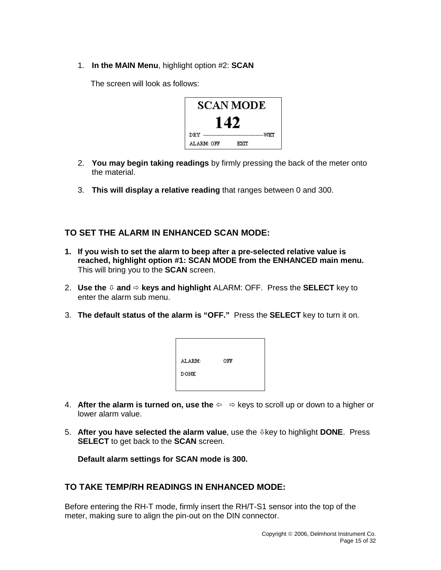1. **In the MAIN Menu**, highlight option #2: **SCAN** 

The screen will look as follows:

| SCAN MODE         |  |  |
|-------------------|--|--|
| 142               |  |  |
| DRV<br>wer        |  |  |
| ALARM: OFF<br>EXT |  |  |

- 2. **You may begin taking readings** by firmly pressing the back of the meter onto the material.
- 3. **This will display a relative reading** that ranges between 0 and 300.

## **TO SET THE ALARM IN ENHANCED SCAN MODE:**

- **1. If you wish to set the alarm to beep after a pre-selected relative value is reached, highlight option #1: SCAN MODE from the ENHANCED main menu.**  This will bring you to the **SCAN** screen.
- 2. **Use the**  $\theta$  **and**  $\Rightarrow$  **keys and highlight** ALARM: OFF. Press the **SELECT** key to enter the alarm sub menu.
- 3. **The default status of the alarm is "OFF."** Press the **SELECT** key to turn it on.

| ALARM: | OFF |  |
|--------|-----|--|
| DONE   |     |  |
|        |     |  |

- 4. After the alarm is turned on, use the  $\Leftrightarrow$   $\Leftrightarrow$  keys to scroll up or down to a higher or lower alarm value.
- 5. **After you have selected the alarm value**, use the key to highlight **DONE**. Press **SELECT** to get back to the **SCAN** screen.

**Default alarm settings for SCAN mode is 300.**

## **TO TAKE TEMP/RH READINGS IN ENHANCED MODE:**

Before entering the RH-T mode, firmly insert the RH/T-S1 sensor into the top of the meter, making sure to align the pin-out on the DIN connector.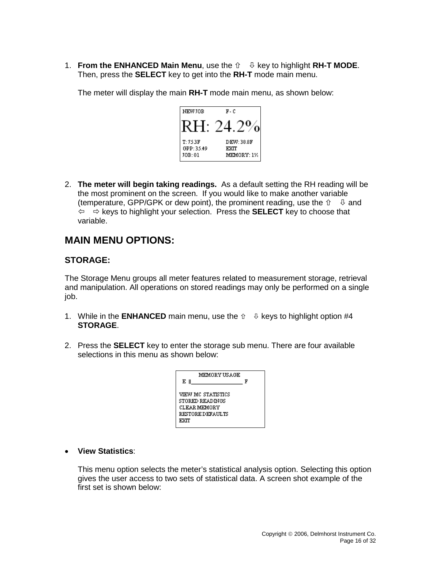1. **From the ENHANCED Main Menu**, use the key to highlight **RH-T MODE**. Then, press the **SELECT** key to get into the **RH-T** mode main menu.

The meter will display the main **RH-T** mode main menu, as shown below:



2. **The meter will begin taking readings.** As a default setting the RH reading will be the most prominent on the screen. If you would like to make another variable (temperature, GPP/GPK or dew point), the prominent reading, use the  $\hat{u} = \hat{u}$  and  $\Leftrightarrow$   $\Leftrightarrow$  keys to highlight your selection. Press the **SELECT** key to choose that variable.

# **MAIN MENU OPTIONS:**

## **STORAGE:**

The Storage Menu groups all meter features related to measurement storage, retrieval and manipulation. All operations on stored readings may only be performed on a single job.

- 1. While in the **ENHANCED** main menu, use the  $\hat{v} = \hat{v}$  keys to highlight option #4 **STORAGE**.
- 2. Press the **SELECT** key to enter the storage sub menu. There are four available selections in this menu as shown below:

| MEMORY US A GE<br>E II                                                                   | ਸ |
|------------------------------------------------------------------------------------------|---|
| VIEW MC STATISTICS<br>STORED READINGS<br><b>CLEAR MEMORY</b><br>RESTORE DEFAULTS<br>ਜਾਣਜ |   |

#### • **View Statistics**:

This menu option selects the meter's statistical analysis option. Selecting this option gives the user access to two sets of statistical data. A screen shot example of the first set is shown below: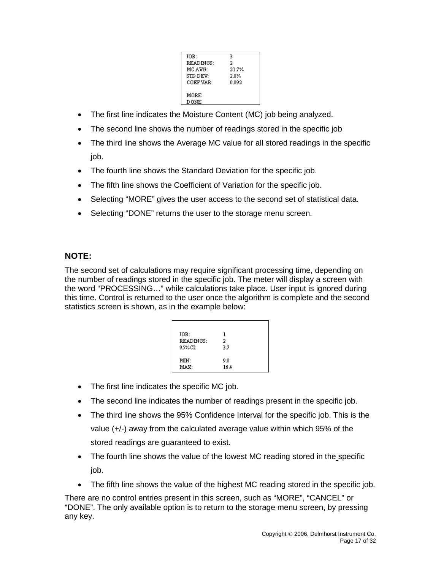| IOB:      | 3      |
|-----------|--------|
|           |        |
| READINGS: | 2      |
| MC AVG:   | 21.7%  |
| STD DEV:  | $20\%$ |
| COEF VAR: | 0.092  |
| MORE      |        |
|           |        |
| DONE      |        |

- The first line indicates the Moisture Content (MC) job being analyzed.
- The second line shows the number of readings stored in the specific job
- The third line shows the Average MC value for all stored readings in the specific job.
- The fourth line shows the Standard Deviation for the specific job.
- The fifth line shows the Coefficient of Variation for the specific job.
- Selecting "MORE" gives the user access to the second set of statistical data.
- Selecting "DONE" returns the user to the storage menu screen.

# **NOTE:**

The second set of calculations may require significant processing time, depending on the number of readings stored in the specific job. The meter will display a screen with the word "PROCESSING…" while calculations take place. User input is ignored during this time. Control is returned to the user once the algorithm is complete and the second statistics screen is shown, as in the example below:

| JOB:      | 1    |  |
|-----------|------|--|
| READINGS: | 2    |  |
| 95%CI:    | 3.7  |  |
|           |      |  |
| MIN:      | 90   |  |
| MAX:      | 16.4 |  |

- The first line indicates the specific MC job.
- The second line indicates the number of readings present in the specific job.
- The third line shows the 95% Confidence Interval for the specific job. This is the value (+/-) away from the calculated average value within which 95% of the stored readings are guaranteed to exist.
- The fourth line shows the value of the lowest MC reading stored in the specific job.
- The fifth line shows the value of the highest MC reading stored in the specific job.

There are no control entries present in this screen, such as "MORE", "CANCEL" or "DONE". The only available option is to return to the storage menu screen, by pressing any key.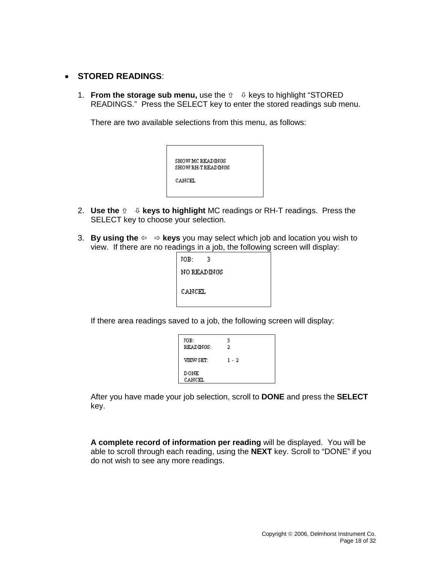#### • **STORED READINGS**:

1. **From the storage sub menu,** use the  $\hat{v}$   $\psi$  keys to highlight "STORED" READINGS." Press the SELECT key to enter the stored readings sub menu.

There are two available selections from this menu, as follows:



- 2. **Use the**  $\theta$   $\theta$  **keys to highlight** MC readings or RH-T readings. Press the SELECT key to choose your selection.
- 3. **By using the**  $\Leftrightarrow$   $\Leftrightarrow$  **keys** you may select which job and location you wish to view. If there are no readings in a job, the following screen will display:

| JOB:   | 3                  |  |
|--------|--------------------|--|
|        | <b>NO READINGS</b> |  |
| CANCEL |                    |  |

If there area readings saved to a job, the following screen will display:

| JOB:<br>READINGS: | 3<br>2 |
|-------------------|--------|
| VIEW SET:         | 1 - 2  |
| DONE<br>CANCEL    |        |

After you have made your job selection, scroll to **DONE** and press the **SELECT** key.

**A complete record of information per reading** will be displayed. You will be able to scroll through each reading, using the **NEXT** key. Scroll to "DONE" if you do not wish to see any more readings.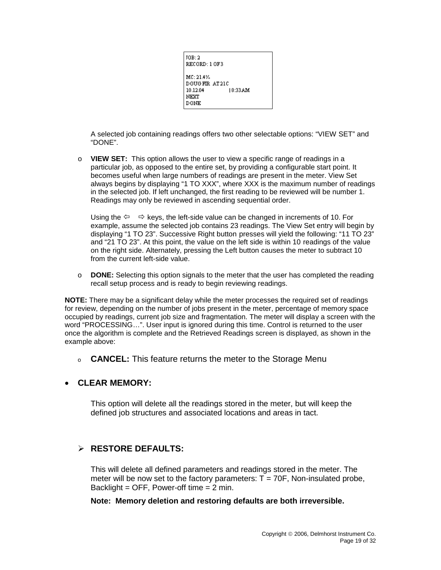| JOB: 2<br>RECORD: 1 OF3                                                    |  |
|----------------------------------------------------------------------------|--|
| MC: 21.4%<br>DOUGER AT 210<br>18:33.A.M<br>10.12.04<br>NEXT<br><b>DONE</b> |  |

A selected job containing readings offers two other selectable options: "VIEW SET" and "DONE".

o **VIEW SET:** This option allows the user to view a specific range of readings in a particular job, as opposed to the entire set, by providing a configurable start point. It becomes useful when large numbers of readings are present in the meter. View Set always begins by displaying "1 TO XXX", where XXX is the maximum number of readings in the selected job. If left unchanged, the first reading to be reviewed will be number 1. Readings may only be reviewed in ascending sequential order.

Using the  $\Leftrightarrow$   $\Leftrightarrow$  keys, the left-side value can be changed in increments of 10. For example, assume the selected job contains 23 readings. The View Set entry will begin by displaying "1 TO 23". Successive Right button presses will yield the following: "11 TO 23" and "21 TO 23". At this point, the value on the left side is within 10 readings of the value on the right side. Alternately, pressing the Left button causes the meter to subtract 10 from the current left-side value.

o **DONE:** Selecting this option signals to the meter that the user has completed the reading recall setup process and is ready to begin reviewing readings.

**NOTE:** There may be a significant delay while the meter processes the required set of readings for review, depending on the number of jobs present in the meter, percentage of memory space occupied by readings, current job size and fragmentation. The meter will display a screen with the word "PROCESSING…". User input is ignored during this time. Control is returned to the user once the algorithm is complete and the Retrieved Readings screen is displayed, as shown in the example above:

<sup>o</sup> **CANCEL:** This feature returns the meter to the Storage Menu

## • **CLEAR MEMORY:**

This option will delete all the readings stored in the meter, but will keep the defined job structures and associated locations and areas in tact.

# **RESTORE DEFAULTS:**

This will delete all defined parameters and readings stored in the meter. The meter will be now set to the factory parameters:  $T = 70F$ , Non-insulated probe, Backlight = OFF, Power-off time =  $2$  min.

#### **Note: Memory deletion and restoring defaults are both irreversible.**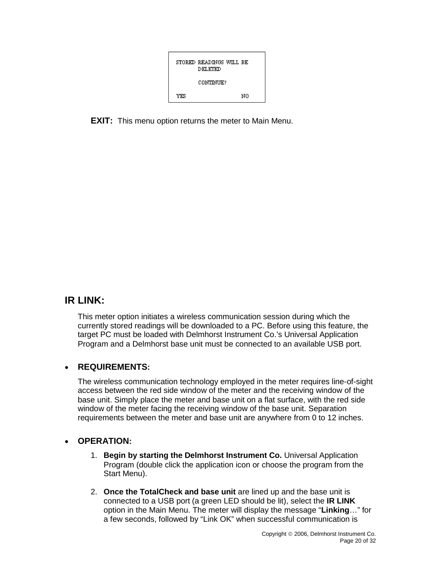

**EXIT:** This menu option returns the meter to Main Menu.

# **IR LINK:**

This meter option initiates a wireless communication session during which the currently stored readings will be downloaded to a PC. Before using this feature, the target PC must be loaded with Delmhorst Instrument Co.'s Universal Application Program and a Delmhorst base unit must be connected to an available USB port.

## • **REQUIREMENTS:**

The wireless communication technology employed in the meter requires line-of-sight access between the red side window of the meter and the receiving window of the base unit. Simply place the meter and base unit on a flat surface, with the red side window of the meter facing the receiving window of the base unit. Separation requirements between the meter and base unit are anywhere from 0 to 12 inches.

#### • **OPERATION:**

- 1. **Begin by starting the Delmhorst Instrument Co.** Universal Application Program (double click the application icon or choose the program from the Start Menu).
- 2. **Once the TotalCheck and base unit** are lined up and the base unit is connected to a USB port (a green LED should be lit), select the **IR LINK** option in the Main Menu. The meter will display the message "**Linking**…" for a few seconds, followed by "Link OK" when successful communication is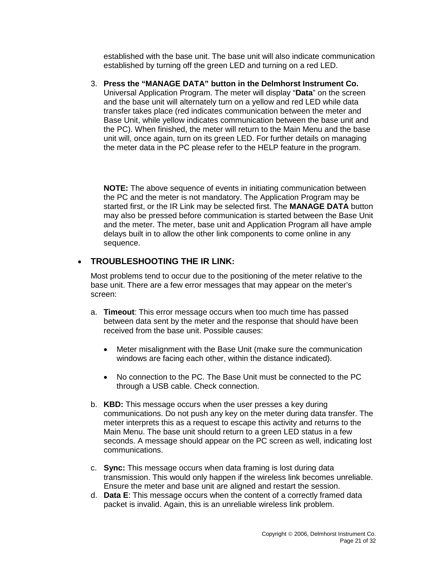established with the base unit. The base unit will also indicate communication established by turning off the green LED and turning on a red LED.

3. **Press the "MANAGE DATA" button in the Delmhorst Instrument Co.** Universal Application Program. The meter will display "**Data**" on the screen and the base unit will alternately turn on a yellow and red LED while data transfer takes place (red indicates communication between the meter and Base Unit, while yellow indicates communication between the base unit and the PC). When finished, the meter will return to the Main Menu and the base unit will, once again, turn on its green LED. For further details on managing the meter data in the PC please refer to the HELP feature in the program.

**NOTE:** The above sequence of events in initiating communication between the PC and the meter is not mandatory. The Application Program may be started first, or the IR Link may be selected first. The **MANAGE DATA** button may also be pressed before communication is started between the Base Unit and the meter. The meter, base unit and Application Program all have ample delays built in to allow the other link components to come online in any sequence.

# • **TROUBLESHOOTING THE IR LINK:**

Most problems tend to occur due to the positioning of the meter relative to the base unit. There are a few error messages that may appear on the meter's screen:

- a. **Timeout**: This error message occurs when too much time has passed between data sent by the meter and the response that should have been received from the base unit. Possible causes:
	- Meter misalignment with the Base Unit (make sure the communication windows are facing each other, within the distance indicated).
	- No connection to the PC. The Base Unit must be connected to the PC through a USB cable. Check connection.
- b. **KBD:** This message occurs when the user presses a key during communications. Do not push any key on the meter during data transfer. The meter interprets this as a request to escape this activity and returns to the Main Menu. The base unit should return to a green LED status in a few seconds. A message should appear on the PC screen as well, indicating lost communications.
- c. **Sync:** This message occurs when data framing is lost during data transmission. This would only happen if the wireless link becomes unreliable. Ensure the meter and base unit are aligned and restart the session.
- d. **Data E**: This message occurs when the content of a correctly framed data packet is invalid. Again, this is an unreliable wireless link problem.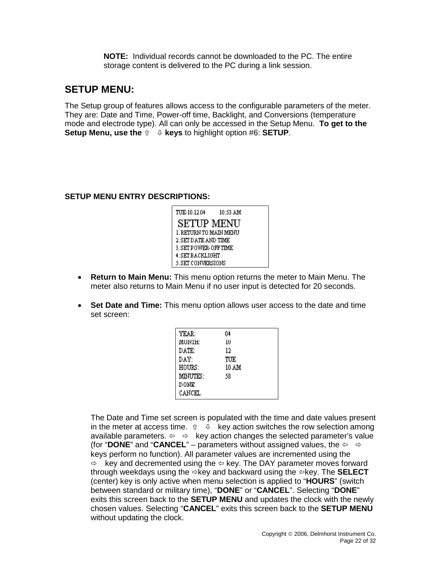**NOTE:** Individual records cannot be downloaded to the PC. The entire storage content is delivered to the PC during a link session.

# **SETUP MENU:**

The Setup group of features allows access to the configurable parameters of the meter. They are: Date and Time, Power-off time, Backlight, and Conversions (temperature mode and electrode type). All can only be accessed in the Setup Menu. **To get to the Setup Menu, use the**  $\hat{v} = \psi$  **keys** to highlight option #6: **SETUP**.

#### **SETUP MENU ENTRY DESCRIPTIONS:**

| TUE-10.12.04             | 10:53 AM |  |
|--------------------------|----------|--|
| SETUP MENU               |          |  |
| 1. RETURN TO MAIN MENU   |          |  |
| 2. SET DATE AND TIME     |          |  |
| 3. SET POWER-OFF TIME    |          |  |
| 4. SET BACKLIGHT         |          |  |
| <b>5.SET CONVERSIONS</b> |          |  |

- **Return to Main Menu:** This menu option returns the meter to Main Menu. The meter also returns to Main Menu if no user input is detected for 20 seconds.
- **Set Date and Time:** This menu option allows user access to the date and time set screen:

| YEAR:       | 04    |
|-------------|-------|
| MUNTH:      | 1U    |
| DATE:       | 12    |
| DAY:        | TUE   |
| HOURS:      | 10 AM |
| MINUTES:    | 58    |
| <b>DONE</b> |       |
| CANCEL      |       |

The Date and Time set screen is populated with the time and date values present in the meter at access time.  $\hat{v} = \emptyset$  key action switches the row selection among available parameters.  $\Leftrightarrow \Rightarrow$  key action changes the selected parameter's value (for "**DONE**" and "**CANCEL**" – parameters without assigned values, the  $\Leftrightarrow \Rightarrow$ keys perform no function). All parameter values are incremented using the  $\Rightarrow$  key and decremented using the  $\Leftrightarrow$  key. The DAY parameter moves forward through weekdays using the key and backward using the key. The **SELECT** (center) key is only active when menu selection is applied to "**HOURS**" (switch between standard or military time), "**DONE**" or "**CANCEL**". Selecting "**DONE**" exits this screen back to the **SETUP MENU** and updates the clock with the newly chosen values. Selecting "**CANCEL**" exits this screen back to the **SETUP MENU** without updating the clock.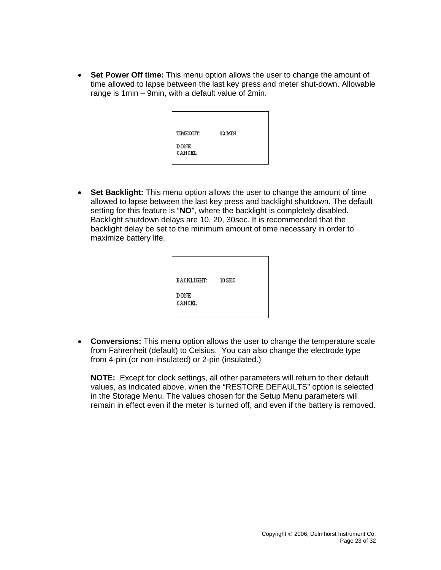• **Set Power Off time:** This menu option allows the user to change the amount of time allowed to lapse between the last key press and meter shut-down. Allowable range is 1min – 9min, with a default value of 2min.

| TIMEOUT:              | 02 MIN |  |
|-----------------------|--------|--|
| <b>DONE</b><br>CANCEL |        |  |

• **Set Backlight:** This menu option allows the user to change the amount of time allowed to lapse between the last key press and backlight shutdown. The default setting for this feature is "**NO**", where the backlight is completely disabled. Backlight shutdown delays are 10, 20, 30sec. It is recommended that the backlight delay be set to the minimum amount of time necessary in order to maximize battery life.

| BACKLIGHT:            | $10$ SEC |
|-----------------------|----------|
| <b>DONE</b><br>CANCEL |          |

• **Conversions:** This menu option allows the user to change the temperature scale from Fahrenheit (default) to Celsius. You can also change the electrode type from 4-pin (or non-insulated) or 2-pin (insulated.)

**NOTE:** Except for clock settings, all other parameters will return to their default values, as indicated above, when the "RESTORE DEFAULTS" option is selected in the Storage Menu. The values chosen for the Setup Menu parameters will remain in effect even if the meter is turned off, and even if the battery is removed.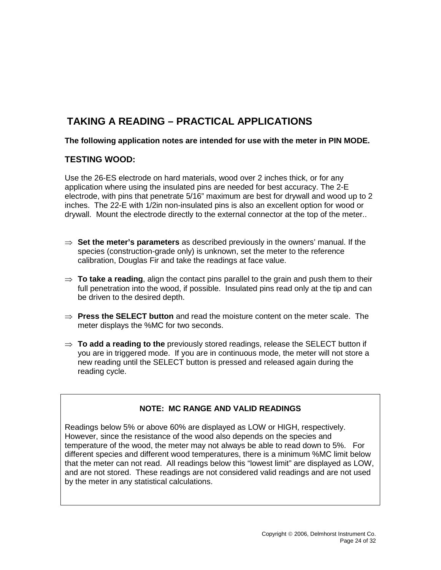# **TAKING A READING – PRACTICAL APPLICATIONS**

**The following application notes are intended for use with the meter in PIN MODE.** 

#### **TESTING WOOD:**

Use the 26-ES electrode on hard materials, wood over 2 inches thick, or for any application where using the insulated pins are needed for best accuracy. The 2-E electrode, with pins that penetrate 5/16" maximum are best for drywall and wood up to 2 inches. The 22-E with 1/2in non-insulated pins is also an excellent option for wood or drywall. Mount the electrode directly to the external connector at the top of the meter..

- ⇒ **Set the meter's parameters** as described previously in the owners' manual. If the species (construction-grade only) is unknown, set the meter to the reference calibration, Douglas Fir and take the readings at face value.
- $\Rightarrow$  **To take a reading**, align the contact pins parallel to the grain and push them to their full penetration into the wood, if possible. Insulated pins read only at the tip and can be driven to the desired depth.
- ⇒ **Press the SELECT button** and read the moisture content on the meter scale. The meter displays the %MC for two seconds.
- ⇒ **To add a reading to the** previously stored readings, release the SELECT button if you are in triggered mode. If you are in continuous mode, the meter will not store a new reading until the SELECT button is pressed and released again during the reading cycle.

#### **NOTE: MC RANGE AND VALID READINGS**

Readings below 5% or above 60% are displayed as LOW or HIGH, respectively. However, since the resistance of the wood also depends on the species and temperature of the wood, the meter may not always be able to read down to 5%. For different species and different wood temperatures, there is a minimum %MC limit below that the meter can not read. All readings below this "lowest limit" are displayed as LOW, and are not stored. These readings are not considered valid readings and are not used by the meter in any statistical calculations.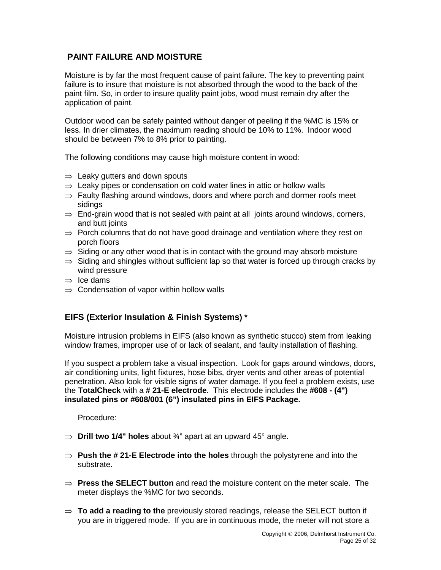# **PAINT FAILURE AND MOISTURE**

Moisture is by far the most frequent cause of paint failure. The key to preventing paint failure is to insure that moisture is not absorbed through the wood to the back of the paint film. So, in order to insure quality paint jobs, wood must remain dry after the application of paint.

Outdoor wood can be safely painted without danger of peeling if the %MC is 15% or less. In drier climates, the maximum reading should be 10% to 11%. Indoor wood should be between 7% to 8% prior to painting.

The following conditions may cause high moisture content in wood:

- $\Rightarrow$  Leaky gutters and down spouts
- $\Rightarrow$  Leaky pipes or condensation on cold water lines in attic or hollow walls
- $\Rightarrow$  Faulty flashing around windows, doors and where porch and dormer roofs meet sidings
- $\Rightarrow$  End-grain wood that is not sealed with paint at all joints around windows, corners, and butt joints
- $\Rightarrow$  Porch columns that do not have good drainage and ventilation where they rest on porch floors
- $\Rightarrow$  Siding or any other wood that is in contact with the ground may absorb moisture
- $\Rightarrow$  Siding and shingles without sufficient lap so that water is forced up through cracks by wind pressure
- $\Rightarrow$  Ice dams
- $\Rightarrow$  Condensation of vapor within hollow walls

## **EIFS (Exterior Insulation & Finish Systems) \***

Moisture intrusion problems in EIFS (also known as synthetic stucco) stem from leaking window frames, improper use of or lack of sealant, and faulty installation of flashing.

If you suspect a problem take a visual inspection. Look for gaps around windows, doors, air conditioning units, light fixtures, hose bibs, dryer vents and other areas of potential penetration. Also look for visible signs of water damage. If you feel a problem exists, use the **TotalCheck** with a **# 21-E electrode**. This electrode includes the **#608 - (4") insulated pins or #608/001 (6") insulated pins in EIFS Package.**

Procedure:

- $\Rightarrow$  **Drill two 1/4" holes** about  $\frac{3}{4}$ " apart at an upward 45° angle.
- ⇒ **Push the # 21-E Electrode into the holes** through the polystyrene and into the substrate.
- ⇒ **Press the SELECT button** and read the moisture content on the meter scale. The meter displays the %MC for two seconds.
- ⇒ **To add a reading to the** previously stored readings, release the SELECT button if you are in triggered mode. If you are in continuous mode, the meter will not store a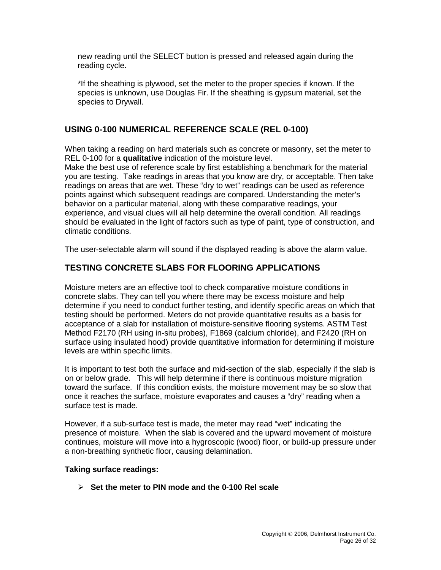new reading until the SELECT button is pressed and released again during the reading cycle.

\*If the sheathing is plywood, set the meter to the proper species if known. If the species is unknown, use Douglas Fir. If the sheathing is gypsum material, set the species to Drywall.

## **USING 0-100 NUMERICAL REFERENCE SCALE (REL 0-100)**

When taking a reading on hard materials such as concrete or masonry, set the meter to REL 0-100 for a **qualitative** indication of the moisture level.

Make the best use of reference scale by first establishing a benchmark for the material you are testing. Take readings in areas that you know are dry, or acceptable. Then take readings on areas that are wet. These "dry to wet" readings can be used as reference points against which subsequent readings are compared. Understanding the meter's behavior on a particular material, along with these comparative readings, your experience, and visual clues will all help determine the overall condition. All readings should be evaluated in the light of factors such as type of paint, type of construction, and climatic conditions.

The user-selectable alarm will sound if the displayed reading is above the alarm value.

## **TESTING CONCRETE SLABS FOR FLOORING APPLICATIONS**

Moisture meters are an effective tool to check comparative moisture conditions in concrete slabs. They can tell you where there may be excess moisture and help determine if you need to conduct further testing, and identify specific areas on which that testing should be performed. Meters do not provide quantitative results as a basis for acceptance of a slab for installation of moisture-sensitive flooring systems. ASTM Test Method F2170 (RH using in-situ probes), F1869 (calcium chloride), and F2420 (RH on surface using insulated hood) provide quantitative information for determining if moisture levels are within specific limits.

It is important to test both the surface and mid-section of the slab, especially if the slab is on or below grade. This will help determine if there is continuous moisture migration toward the surface. If this condition exists, the moisture movement may be so slow that once it reaches the surface, moisture evaporates and causes a "dry" reading when a surface test is made.

However, if a sub-surface test is made, the meter may read "wet" indicating the presence of moisture. When the slab is covered and the upward movement of moisture continues, moisture will move into a hygroscopic (wood) floor, or build-up pressure under a non-breathing synthetic floor, causing delamination.

#### **Taking surface readings:**

**Set the meter to PIN mode and the 0-100 Rel scale**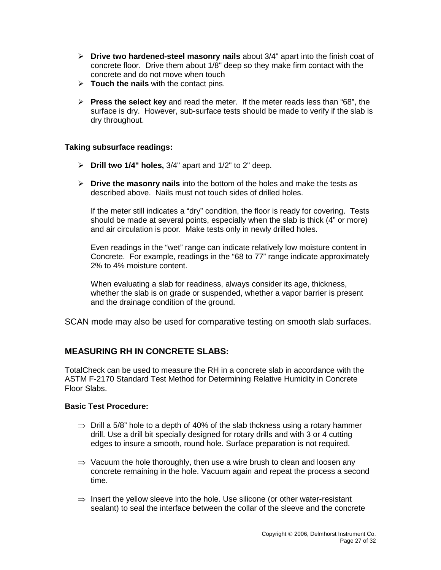- **Drive two hardened-steel masonry nails** about 3/4" apart into the finish coat of concrete floor. Drive them about 1/8" deep so they make firm contact with the concrete and do not move when touch
- **Touch the nails** with the contact pins.
- **Press the select key** and read the meter. If the meter reads less than "68", the surface is dry. However, sub-surface tests should be made to verify if the slab is dry throughout.

#### **Taking subsurface readings:**

- **Drill two 1/4" holes,** 3/4" apart and 1/2" to 2" deep.
- **Drive the masonry nails** into the bottom of the holes and make the tests as described above. Nails must not touch sides of drilled holes.

If the meter still indicates a "dry" condition, the floor is ready for covering. Tests should be made at several points, especially when the slab is thick (4" or more) and air circulation is poor. Make tests only in newly drilled holes.

Even readings in the "wet" range can indicate relatively low moisture content in Concrete. For example, readings in the "68 to 77" range indicate approximately 2% to 4% moisture content.

When evaluating a slab for readiness, always consider its age, thickness, whether the slab is on grade or suspended, whether a vapor barrier is present and the drainage condition of the ground.

SCAN mode may also be used for comparative testing on smooth slab surfaces.

## **MEASURING RH IN CONCRETE SLABS:**

TotalCheck can be used to measure the RH in a concrete slab in accordance with the ASTM F-2170 Standard Test Method for Determining Relative Humidity in Concrete Floor Slabs.

#### **Basic Test Procedure:**

- $\Rightarrow$  Drill a 5/8" hole to a depth of 40% of the slab thckness using a rotary hammer drill. Use a drill bit specially designed for rotary drills and with 3 or 4 cutting edges to insure a smooth, round hole. Surface preparation is not required.
- $\Rightarrow$  Vacuum the hole thoroughly, then use a wire brush to clean and loosen any concrete remaining in the hole. Vacuum again and repeat the process a second time.
- $\Rightarrow$  Insert the yellow sleeve into the hole. Use silicone (or other water-resistant sealant) to seal the interface between the collar of the sleeve and the concrete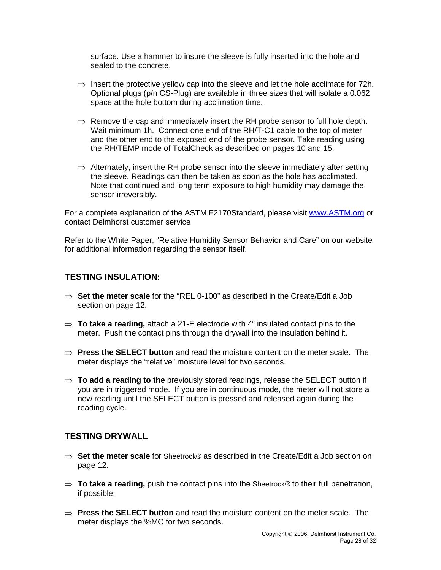surface. Use a hammer to insure the sleeve is fully inserted into the hole and sealed to the concrete.

- $\Rightarrow$  Insert the protective yellow cap into the sleeve and let the hole acclimate for 72h. Optional plugs (p/n CS-Plug) are available in three sizes that will isolate a 0.062 space at the hole bottom during acclimation time.
- $\Rightarrow$  Remove the cap and immediately insert the RH probe sensor to full hole depth. Wait minimum 1h. Connect one end of the RH/T-C1 cable to the top of meter and the other end to the exposed end of the probe sensor. Take reading using the RH/TEMP mode of TotalCheck as described on pages 10 and 15.
- $\Rightarrow$  Alternately, insert the RH probe sensor into the sleeve immediately after setting the sleeve. Readings can then be taken as soon as the hole has acclimated. Note that continued and long term exposure to high humidity may damage the sensor irreversibly.

For a complete explanation of the ASTM F2170Standard, please visit [www.ASTM.org](http://www.astm.org/) or contact Delmhorst customer service

Refer to the White Paper, "Relative Humidity Sensor Behavior and Care" on our website for additional information regarding the sensor itself.

#### **TESTING INSULATION:**

- ⇒ **Set the meter scale** for the "REL 0-100" as described in the Create/Edit a Job section on page 12.
- ⇒ **To take a reading,** attach a 21-E electrode with 4" insulated contact pins to the meter. Push the contact pins through the drywall into the insulation behind it.
- ⇒ **Press the SELECT button** and read the moisture content on the meter scale. The meter displays the "relative" moisture level for two seconds.
- ⇒ **To add a reading to the** previously stored readings, release the SELECT button if you are in triggered mode. If you are in continuous mode, the meter will not store a new reading until the SELECT button is pressed and released again during the reading cycle.

## **TESTING DRYWALL**

- ⇒ **Set the meter scale** for Sheetrock® as described in the Create/Edit a Job section on page 12.
- ⇒ **To take a reading,** push the contact pins into the Sheetrock® to their full penetration, if possible.
- ⇒ **Press the SELECT button** and read the moisture content on the meter scale. The meter displays the %MC for two seconds.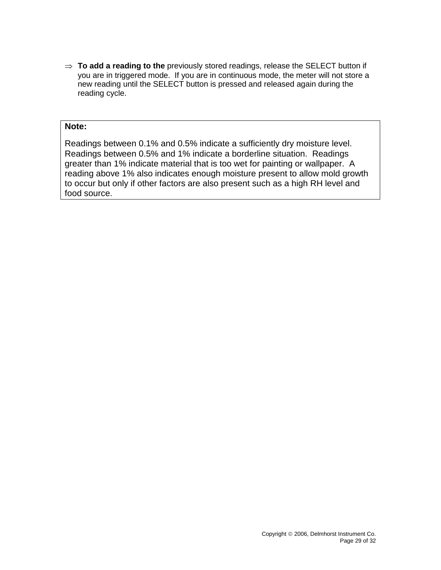⇒ **To add a reading to the** previously stored readings, release the SELECT button if you are in triggered mode. If you are in continuous mode, the meter will not store a new reading until the SELECT button is pressed and released again during the reading cycle.

#### **Note:**

Readings between 0.1% and 0.5% indicate a sufficiently dry moisture level. Readings between 0.5% and 1% indicate a borderline situation. Readings greater than 1% indicate material that is too wet for painting or wallpaper. A reading above 1% also indicates enough moisture present to allow mold growth to occur but only if other factors are also present such as a high RH level and food source.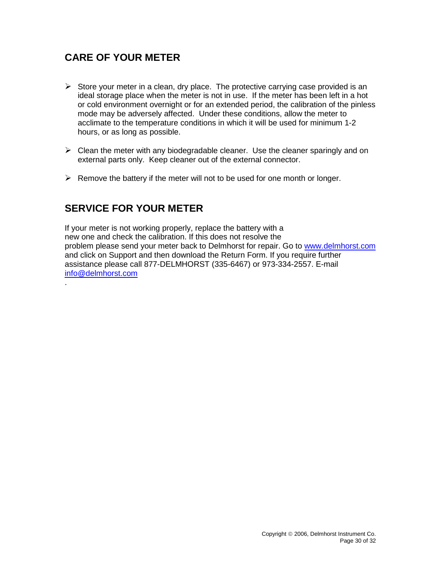# **CARE OF YOUR METER**

- $\triangleright$  Store your meter in a clean, dry place. The protective carrying case provided is an ideal storage place when the meter is not in use. If the meter has been left in a hot or cold environment overnight or for an extended period, the calibration of the pinless mode may be adversely affected. Under these conditions, allow the meter to acclimate to the temperature conditions in which it will be used for minimum 1-2 hours, or as long as possible.
- $\triangleright$  Clean the meter with any biodegradable cleaner. Use the cleaner sparingly and on external parts only. Keep cleaner out of the external connector.
- $\triangleright$  Remove the battery if the meter will not to be used for one month or longer.

# **SERVICE FOR YOUR METER**

.

If your meter is not working properly, replace the battery with a new one and check the calibration. If this does not resolve the problem please send your meter back to Delmhorst for repair. Go to [www.delmhorst.com](http://www.delmhorst.com/) and click on Support and then download the Return Form. If you require further assistance please call 877-DELMHORST (335-6467) or 973-334-2557. E-mail [info@delmhorst.com](mailto:info@delmhorst.com)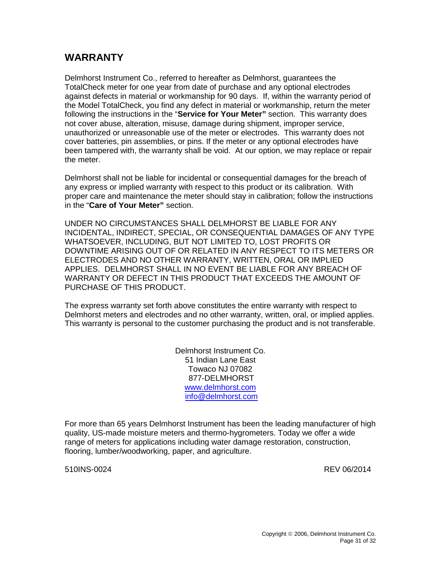# **WARRANTY**

Delmhorst Instrument Co., referred to hereafter as Delmhorst, guarantees the TotalCheck meter for one year from date of purchase and any optional electrodes against defects in material or workmanship for 90 days. If, within the warranty period of the Model TotalCheck, you find any defect in material or workmanship, return the meter following the instructions in the "**Service for Your Meter"** section.This warranty does not cover abuse, alteration, misuse, damage during shipment, improper service, unauthorized or unreasonable use of the meter or electrodes. This warranty does not cover batteries, pin assemblies, or pins. If the meter or any optional electrodes have been tampered with, the warranty shall be void. At our option, we may replace or repair the meter.

Delmhorst shall not be liable for incidental or consequential damages for the breach of any express or implied warranty with respect to this product or its calibration. With proper care and maintenance the meter should stay in calibration; follow the instructions in the "**Care of Your Meter"** section.

UNDER NO CIRCUMSTANCES SHALL DELMHORST BE LIABLE FOR ANY INCIDENTAL, INDIRECT, SPECIAL, OR CONSEQUENTIAL DAMAGES OF ANY TYPE WHATSOEVER, INCLUDING, BUT NOT LIMITED TO, LOST PROFITS OR DOWNTIME ARISING OUT OF OR RELATED IN ANY RESPECT TO ITS METERS OR ELECTRODES AND NO OTHER WARRANTY, WRITTEN, ORAL OR IMPLIED APPLIES. DELMHORST SHALL IN NO EVENT BE LIABLE FOR ANY BREACH OF WARRANTY OR DEFECT IN THIS PRODUCT THAT EXCEEDS THE AMOUNT OF PURCHASE OF THIS PRODUCT.

The express warranty set forth above constitutes the entire warranty with respect to Delmhorst meters and electrodes and no other warranty, written, oral, or implied applies. This warranty is personal to the customer purchasing the product and is not transferable.

> Delmhorst Instrument Co. 51 Indian Lane East Towaco NJ 07082 877-DELMHORST [www.delmhorst.com](http://www.delmhorst.com/) [info@delmhorst.com](mailto:info@delmhorst.com)

For more than 65 years Delmhorst Instrument has been the leading manufacturer of high quality, US-made moisture meters and thermo-hygrometers. Today we offer a wide range of meters for applications including water damage restoration, construction, flooring, lumber/woodworking, paper, and agriculture.

510INS-0024 REV 06/2014